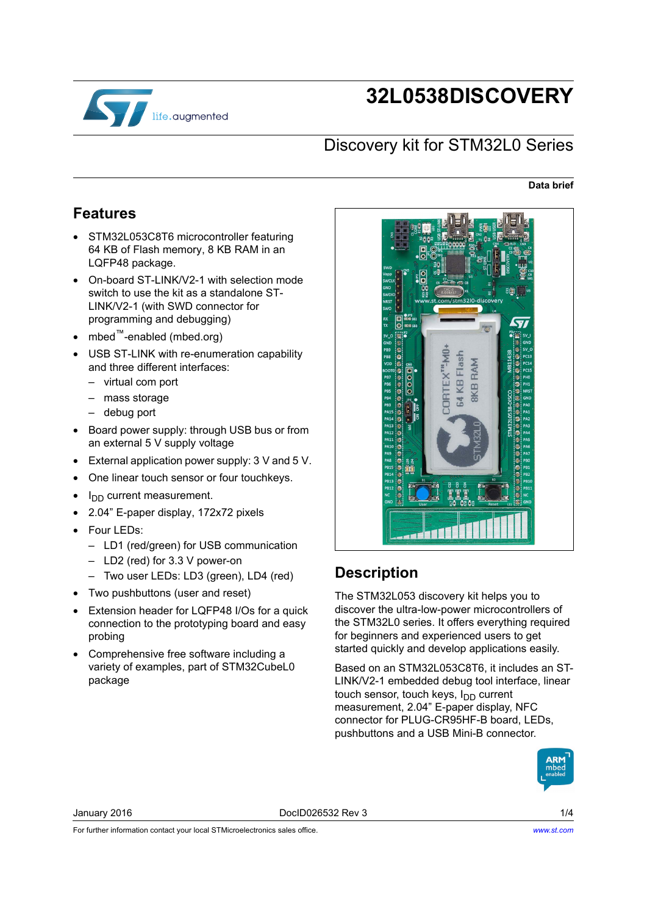

# **32L0538DISCOVERY**

### Discovery kit for STM32L0 Series

#### **Data brief**

#### <span id="page-0-0"></span>**Features**

- STM32L053C8T6 microcontroller featuring 64 KB of Flash memory, 8 KB RAM in an LQFP48 package.
- On-board ST-LINK/V2-1 with selection mode switch to use the kit as a standalone ST-LINK/V2-1 (with SWD connector for programming and debugging)
- mbed™-enabled (mbed.org)
- USB ST-LINK with re-enumeration capability and three different interfaces:
	- virtual com port
	- mass storage
	- debug port
- Board power supply: through USB bus or from an external 5 V supply voltage
- External application power supply: 3 V and 5 V.
- One linear touch sensor or four touchkeys.
- $I_{DD}$  current measurement.
- 2.04" E-paper display, 172x72 pixels
- Four LEDs:
	- LD1 (red/green) for USB communication
	- LD2 (red) for 3.3 V power-on
	- Two user LEDs: LD3 (green), LD4 (red)
- Two pushbuttons (user and reset)
- Extension header for LQFP48 I/Os for a quick connection to the prototyping board and easy probing
- Comprehensive free software including a variety of examples, part of STM32CubeL0 package



#### <span id="page-0-1"></span>**Description**

The STM32L053 discovery kit helps you to discover the ultra-low-power microcontrollers of the STM32L0 series. It offers everything required for beginners and experienced users to get started quickly and develop applications easily.

Based on an STM32L053C8T6, it includes an ST-LINK/V2-1 embedded debug tool interface, linear touch sensor, touch keys,  $I_{DD}$  current measurement, 2.04" E-paper display, NFC connector for PLUG-CR95HF-B board, LEDs, pushbuttons and a USB Mini-B connector.



January 2016 DocID026532 Rev 3 1/4

For further information contact your local STMicroelectronics sales office.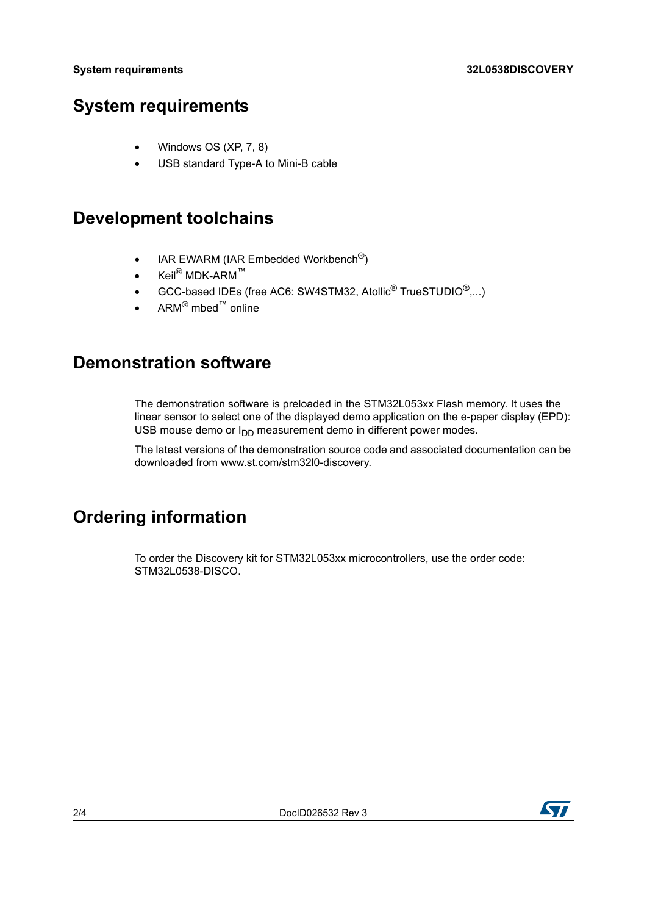#### <span id="page-1-0"></span>**System requirements**

- Windows OS (XP, 7, 8)
- USB standard Type-A to Mini-B cable

#### <span id="page-1-1"></span>**Development toolchains**

- IAR EWARM (IAR Embedded Workbench<sup>®</sup>)
- Keil<sup>®</sup> MDK-ARM™
- $\bullet$  GCC-based IDEs (free AC6: SW4STM32, Atollic<sup>®</sup> TrueSTUDIO<sup>®</sup>,...)
- $ARM^{\circledR}$  mbed<sup>™</sup> online

#### **Demonstration software**

The demonstration software is preloaded in the STM32L053xx Flash memory. It uses the linear sensor to select one of the displayed demo application on the e-paper display (EPD): USB mouse demo or  $I_{DD}$  measurement demo in different power modes.

The latest versions of the demonstration source code and associated documentation can be downloaded from www.st.com/stm32l0-discovery.

### **Ordering information**

To order the Discovery kit for STM32L053xx microcontrollers, use the order code: STM32L0538-DISCO.

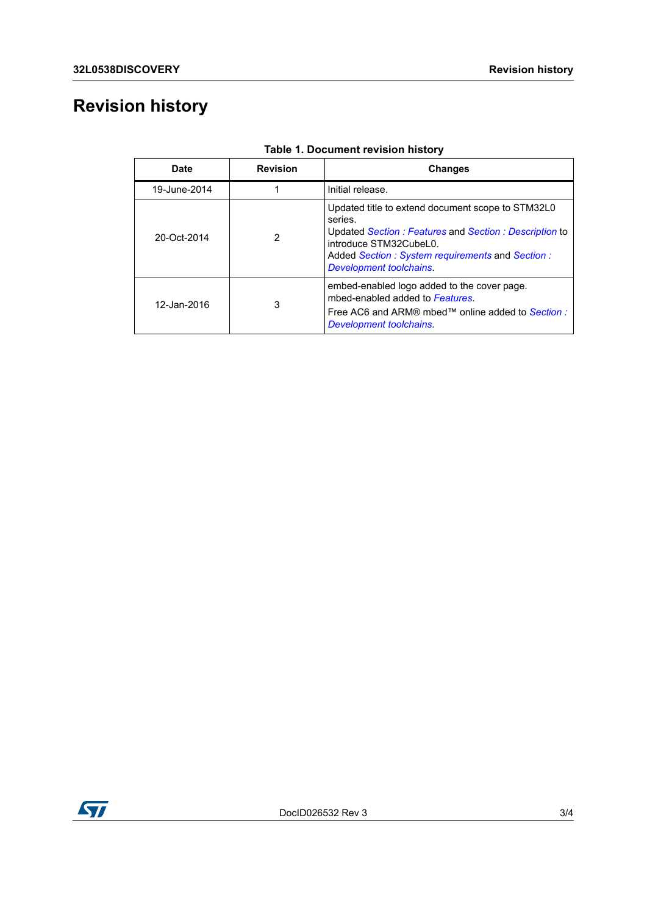## **Revision history**

| Date         | <b>Revision</b> | Changes                                                                                                                                                                                                                       |
|--------------|-----------------|-------------------------------------------------------------------------------------------------------------------------------------------------------------------------------------------------------------------------------|
| 19-June-2014 |                 | Initial release.                                                                                                                                                                                                              |
| 20-Oct-2014  | 2               | Updated title to extend document scope to STM32L0<br>series.<br>Updated Section: Features and Section: Description to<br>introduce STM32CubeL0.<br>Added Section: System requirements and Section:<br>Development toolchains. |
| 12-Jan-2016  | 3               | embed-enabled logo added to the cover page.<br>mbed-enabled added to Features.<br>Free AC6 and ARM® mbed™ online added to Section :<br>Development toolchains.                                                                |

**Table 1. Document revision history**